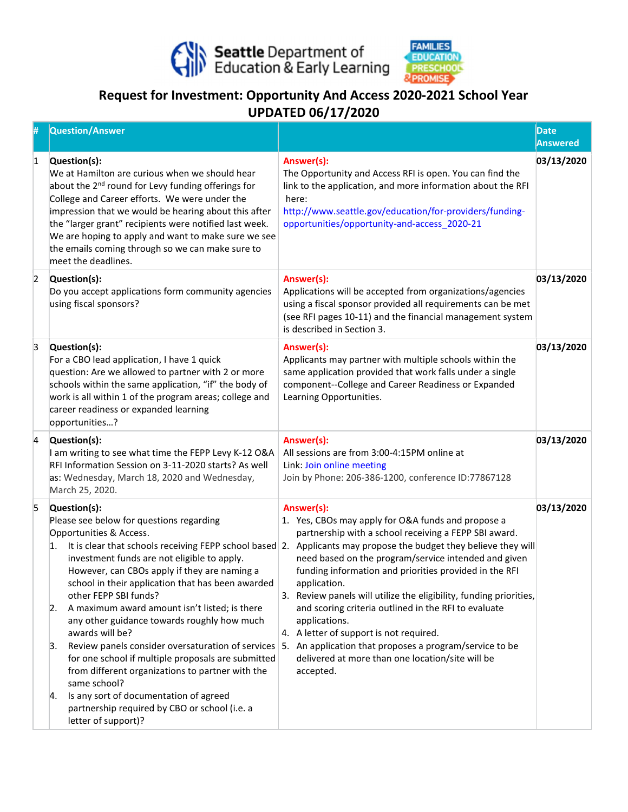



## Request for Investment: Opportunity And Access 2020-2021 School Year UPDATED 06/17/2020

|                | <b>Question/Answer</b>                                                                                                                                                                                                                                                                                                                                                                                                                                                                                                                                                                                                                                                                                       |                                                                                                                                                                                                                                                                                                                                                                                                                                                                                                                                                                                                                                                                                                       | Date<br>Answered |
|----------------|--------------------------------------------------------------------------------------------------------------------------------------------------------------------------------------------------------------------------------------------------------------------------------------------------------------------------------------------------------------------------------------------------------------------------------------------------------------------------------------------------------------------------------------------------------------------------------------------------------------------------------------------------------------------------------------------------------------|-------------------------------------------------------------------------------------------------------------------------------------------------------------------------------------------------------------------------------------------------------------------------------------------------------------------------------------------------------------------------------------------------------------------------------------------------------------------------------------------------------------------------------------------------------------------------------------------------------------------------------------------------------------------------------------------------------|------------------|
| 1              | Question(s):<br>We at Hamilton are curious when we should hear<br>about the 2 <sup>nd</sup> round for Levy funding offerings for<br>College and Career efforts. We were under the<br>impression that we would be hearing about this after<br>the "larger grant" recipients were notified last week.<br>We are hoping to apply and want to make sure we see<br>the emails coming through so we can make sure to<br>meet the deadlines.                                                                                                                                                                                                                                                                        | Answer(s):<br>The Opportunity and Access RFI is open. You can find the<br>link to the application, and more information about the RFI<br>here:<br>http://www.seattle.gov/education/for-providers/funding-<br>opportunities/opportunity-and-access_2020-21                                                                                                                                                                                                                                                                                                                                                                                                                                             | 03/13/2020       |
| $\overline{2}$ | Question(s):<br>Do you accept applications form community agencies<br>using fiscal sponsors?                                                                                                                                                                                                                                                                                                                                                                                                                                                                                                                                                                                                                 | Answer(s):<br>Applications will be accepted from organizations/agencies<br>using a fiscal sponsor provided all requirements can be met<br>(see RFI pages 10-11) and the financial management system<br>is described in Section 3.                                                                                                                                                                                                                                                                                                                                                                                                                                                                     | 03/13/2020       |
| 3              | Question(s):<br>For a CBO lead application, I have 1 quick<br>question: Are we allowed to partner with 2 or more<br>schools within the same application, "if" the body of<br>work is all within 1 of the program areas; college and<br>career readiness or expanded learning<br>opportunities?                                                                                                                                                                                                                                                                                                                                                                                                               | Answer(s):<br>Applicants may partner with multiple schools within the<br>same application provided that work falls under a single<br>component--College and Career Readiness or Expanded<br>Learning Opportunities.                                                                                                                                                                                                                                                                                                                                                                                                                                                                                   | 03/13/2020       |
| $\overline{4}$ | Question(s):<br>I am writing to see what time the FEPP Levy K-12 O&A<br>RFI Information Session on 3-11-2020 starts? As well<br>as: Wednesday, March 18, 2020 and Wednesday,<br>March 25, 2020.                                                                                                                                                                                                                                                                                                                                                                                                                                                                                                              | Answer(s):<br>All sessions are from 3:00-4:15PM online at<br>Link: Join online meeting<br>Join by Phone: 206-386-1200, conference ID:77867128                                                                                                                                                                                                                                                                                                                                                                                                                                                                                                                                                         | 03/13/2020       |
| 5              | Question(s):<br>Please see below for questions regarding<br>Opportunities & Access.<br>1.<br>investment funds are not eligible to apply.<br>However, can CBOs apply if they are naming a<br>school in their application that has been awarded<br>other FEPP SBI funds?<br>A maximum award amount isn't listed; is there<br>2.<br>any other guidance towards roughly how much<br>awards will be?<br>Review panels consider oversaturation of services<br>3.<br>for one school if multiple proposals are submitted<br>from different organizations to partner with the<br>same school?<br>Is any sort of documentation of agreed<br>4.<br>partnership required by CBO or school (i.e. a<br>letter of support)? | Answer(s):<br>1. Yes, CBOs may apply for O&A funds and propose a<br>partnership with a school receiving a FEPP SBI award.<br>It is clear that schools receiving FEPP school based 2. Applicants may propose the budget they believe they will<br>need based on the program/service intended and given<br>funding information and priorities provided in the RFI<br>application.<br>3. Review panels will utilize the eligibility, funding priorities,<br>and scoring criteria outlined in the RFI to evaluate<br>applications.<br>4. A letter of support is not required.<br>5. An application that proposes a program/service to be<br>delivered at more than one location/site will be<br>accepted. | 03/13/2020       |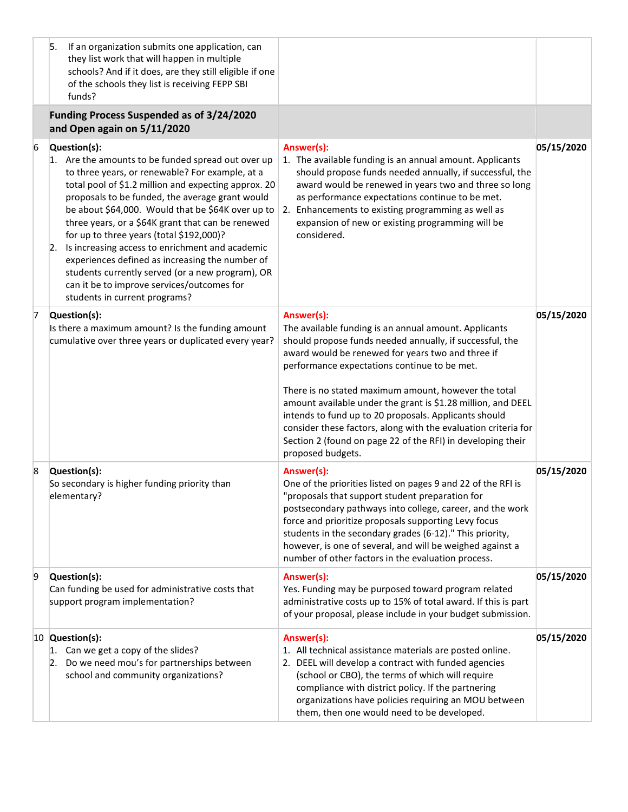|   | 5.<br>If an organization submits one application, can<br>they list work that will happen in multiple<br>schools? And if it does, are they still eligible if one<br>of the schools they list is receiving FEPP SBI<br>funds?                                                                                                                                                                                                                                                                                                                                                                                                        |                                                                                                                                                                                                                                                                                                                                                                                                                                                                                                                                                                             |            |
|---|------------------------------------------------------------------------------------------------------------------------------------------------------------------------------------------------------------------------------------------------------------------------------------------------------------------------------------------------------------------------------------------------------------------------------------------------------------------------------------------------------------------------------------------------------------------------------------------------------------------------------------|-----------------------------------------------------------------------------------------------------------------------------------------------------------------------------------------------------------------------------------------------------------------------------------------------------------------------------------------------------------------------------------------------------------------------------------------------------------------------------------------------------------------------------------------------------------------------------|------------|
|   | Funding Process Suspended as of 3/24/2020<br>and Open again on 5/11/2020                                                                                                                                                                                                                                                                                                                                                                                                                                                                                                                                                           |                                                                                                                                                                                                                                                                                                                                                                                                                                                                                                                                                                             |            |
| 6 | Question(s):<br>1. Are the amounts to be funded spread out over up<br>to three years, or renewable? For example, at a<br>total pool of \$1.2 million and expecting approx. 20<br>proposals to be funded, the average grant would<br>be about \$64,000. Would that be \$64K over up to<br>three years, or a \$64K grant that can be renewed<br>for up to three years (total \$192,000)?<br>2. Is increasing access to enrichment and academic<br>experiences defined as increasing the number of<br>students currently served (or a new program), OR<br>can it be to improve services/outcomes for<br>students in current programs? | Answer(s):<br>1. The available funding is an annual amount. Applicants<br>should propose funds needed annually, if successful, the<br>award would be renewed in years two and three so long<br>as performance expectations continue to be met.<br>2. Enhancements to existing programming as well as<br>expansion of new or existing programming will be<br>considered.                                                                                                                                                                                                     | 05/15/2020 |
| 7 | Question(s):<br>Is there a maximum amount? Is the funding amount<br>cumulative over three years or duplicated every year?                                                                                                                                                                                                                                                                                                                                                                                                                                                                                                          | Answer(s):<br>The available funding is an annual amount. Applicants<br>should propose funds needed annually, if successful, the<br>award would be renewed for years two and three if<br>performance expectations continue to be met.<br>There is no stated maximum amount, however the total<br>amount available under the grant is \$1.28 million, and DEEL<br>intends to fund up to 20 proposals. Applicants should<br>consider these factors, along with the evaluation criteria for<br>Section 2 (found on page 22 of the RFI) in developing their<br>proposed budgets. | 05/15/2020 |
| 8 | Question(s):<br>So secondary is higher funding priority than<br>elementary?                                                                                                                                                                                                                                                                                                                                                                                                                                                                                                                                                        | Answer(s):<br>One of the priorities listed on pages 9 and 22 of the RFI is<br>"proposals that support student preparation for<br>postsecondary pathways into college, career, and the work<br>force and prioritize proposals supporting Levy focus<br>students in the secondary grades (6-12)." This priority,<br>however, is one of several, and will be weighed against a<br>number of other factors in the evaluation process.                                                                                                                                           | 05/15/2020 |
| 9 | Question(s):<br>Can funding be used for administrative costs that<br>support program implementation?                                                                                                                                                                                                                                                                                                                                                                                                                                                                                                                               | Answer(s):<br>Yes. Funding may be purposed toward program related<br>administrative costs up to 15% of total award. If this is part<br>of your proposal, please include in your budget submission.                                                                                                                                                                                                                                                                                                                                                                          | 05/15/2020 |
|   | 10 Question(s):<br>1. Can we get a copy of the slides?<br>2. Do we need mou's for partnerships between<br>school and community organizations?                                                                                                                                                                                                                                                                                                                                                                                                                                                                                      | Answer(s):<br>1. All technical assistance materials are posted online.<br>2. DEEL will develop a contract with funded agencies<br>(school or CBO), the terms of which will require<br>compliance with district policy. If the partnering<br>organizations have policies requiring an MOU between<br>them, then one would need to be developed.                                                                                                                                                                                                                              | 05/15/2020 |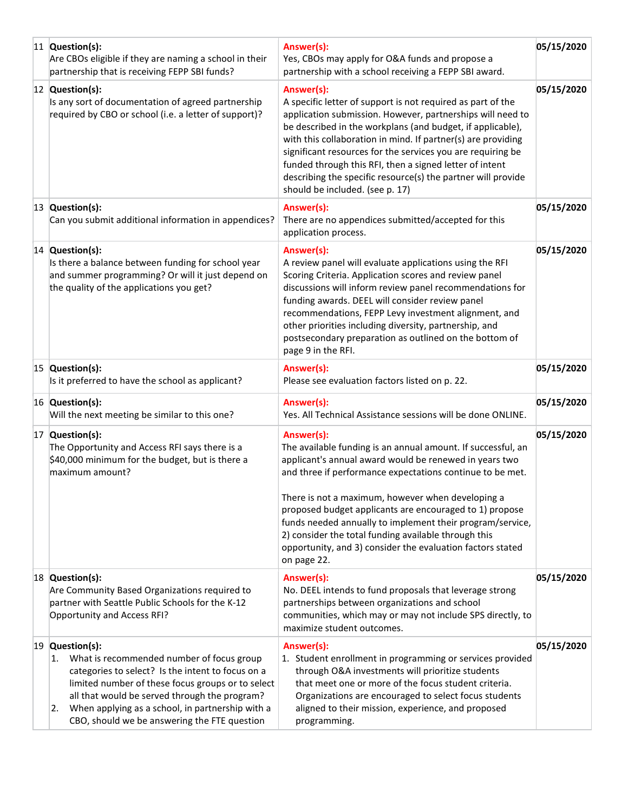| 11 Question(s):<br>Are CBOs eligible if they are naming a school in their<br>partnership that is receiving FEPP SBI funds?                                                                                                                                                                                                           | Answer(s):<br>Yes, CBOs may apply for O&A funds and propose a<br>partnership with a school receiving a FEPP SBI award.                                                                                                                                                                                                                                                                                                                                                                                              | 05/15/2020 |
|--------------------------------------------------------------------------------------------------------------------------------------------------------------------------------------------------------------------------------------------------------------------------------------------------------------------------------------|---------------------------------------------------------------------------------------------------------------------------------------------------------------------------------------------------------------------------------------------------------------------------------------------------------------------------------------------------------------------------------------------------------------------------------------------------------------------------------------------------------------------|------------|
| 12 Question(s):<br>Is any sort of documentation of agreed partnership<br>required by CBO or school (i.e. a letter of support)?                                                                                                                                                                                                       | Answer(s):<br>A specific letter of support is not required as part of the<br>application submission. However, partnerships will need to<br>be described in the workplans (and budget, if applicable),<br>with this collaboration in mind. If partner(s) are providing<br>significant resources for the services you are requiring be<br>funded through this RFI, then a signed letter of intent<br>describing the specific resource(s) the partner will provide<br>should be included. (see p. 17)                  | 05/15/2020 |
| 13 Question(s):<br>Can you submit additional information in appendices?                                                                                                                                                                                                                                                              | Answer(s):<br>There are no appendices submitted/accepted for this<br>application process.                                                                                                                                                                                                                                                                                                                                                                                                                           | 05/15/2020 |
| 14 Question(s):<br>Is there a balance between funding for school year<br>and summer programming? Or will it just depend on<br>the quality of the applications you get?                                                                                                                                                               | Answer(s):<br>A review panel will evaluate applications using the RFI<br>Scoring Criteria. Application scores and review panel<br>discussions will inform review panel recommendations for<br>funding awards. DEEL will consider review panel<br>recommendations, FEPP Levy investment alignment, and<br>other priorities including diversity, partnership, and<br>postsecondary preparation as outlined on the bottom of<br>page 9 in the RFI.                                                                     | 05/15/2020 |
| 15 Question(s):<br>Is it preferred to have the school as applicant?                                                                                                                                                                                                                                                                  | Answer(s):<br>Please see evaluation factors listed on p. 22.                                                                                                                                                                                                                                                                                                                                                                                                                                                        | 05/15/2020 |
| 16 Question(s):<br>Will the next meeting be similar to this one?                                                                                                                                                                                                                                                                     | Answer(s):<br>Yes. All Technical Assistance sessions will be done ONLINE.                                                                                                                                                                                                                                                                                                                                                                                                                                           | 05/15/2020 |
| 17 Question(s):<br>The Opportunity and Access RFI says there is a<br>\$40,000 minimum for the budget, but is there a<br>maximum amount?                                                                                                                                                                                              | Answer(s):<br>The available funding is an annual amount. If successful, an<br>applicant's annual award would be renewed in years two<br>and three if performance expectations continue to be met.<br>There is not a maximum, however when developing a<br>proposed budget applicants are encouraged to 1) propose<br>funds needed annually to implement their program/service,<br>2) consider the total funding available through this<br>opportunity, and 3) consider the evaluation factors stated<br>on page 22. | 05/15/2020 |
| 18 Question(s):<br>Are Community Based Organizations required to<br>partner with Seattle Public Schools for the K-12<br>Opportunity and Access RFI?                                                                                                                                                                                  | Answer(s):<br>No. DEEL intends to fund proposals that leverage strong<br>partnerships between organizations and school<br>communities, which may or may not include SPS directly, to<br>maximize student outcomes.                                                                                                                                                                                                                                                                                                  | 05/15/2020 |
| 19 Question(s):<br>1. What is recommended number of focus group<br>categories to select? Is the intent to focus on a<br>limited number of these focus groups or to select<br>all that would be served through the program?<br>When applying as a school, in partnership with a<br>2.<br>CBO, should we be answering the FTE question | Answer(s):<br>1. Student enrollment in programming or services provided<br>through O&A investments will prioritize students<br>that meet one or more of the focus student criteria.<br>Organizations are encouraged to select focus students<br>aligned to their mission, experience, and proposed<br>programming.                                                                                                                                                                                                  | 05/15/2020 |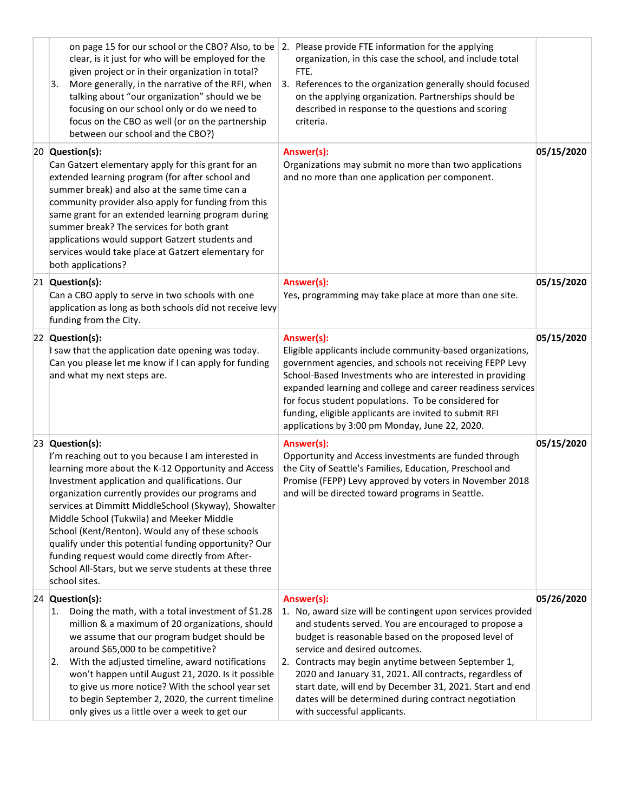| on page 15 for our school or the CBO? Also, to be<br>clear, is it just for who will be employed for the<br>given project or in their organization in total?<br>More generally, in the narrative of the RFI, when<br>3.<br>talking about "our organization" should we be<br>focusing on our school only or do we need to<br>focus on the CBO as well (or on the partnership<br>between our school and the CBO?)                                                                                                                                                                     | 2. Please provide FTE information for the applying<br>organization, in this case the school, and include total<br>FTE.<br>3. References to the organization generally should focused<br>on the applying organization. Partnerships should be<br>described in response to the questions and scoring<br>criteria.                                                                                                                                                                                |            |
|------------------------------------------------------------------------------------------------------------------------------------------------------------------------------------------------------------------------------------------------------------------------------------------------------------------------------------------------------------------------------------------------------------------------------------------------------------------------------------------------------------------------------------------------------------------------------------|------------------------------------------------------------------------------------------------------------------------------------------------------------------------------------------------------------------------------------------------------------------------------------------------------------------------------------------------------------------------------------------------------------------------------------------------------------------------------------------------|------------|
| 20 Question(s):<br>Can Gatzert elementary apply for this grant for an<br>extended learning program (for after school and<br>summer break) and also at the same time can a<br>community provider also apply for funding from this<br>same grant for an extended learning program during<br>summer break? The services for both grant<br>applications would support Gatzert students and<br>services would take place at Gatzert elementary for<br>both applications?                                                                                                                | Answer(s):<br>Organizations may submit no more than two applications<br>and no more than one application per component.                                                                                                                                                                                                                                                                                                                                                                        | 05/15/2020 |
| 21 Question(s):<br>Can a CBO apply to serve in two schools with one<br>application as long as both schools did not receive levy<br>funding from the City.                                                                                                                                                                                                                                                                                                                                                                                                                          | Answer(s):<br>Yes, programming may take place at more than one site.                                                                                                                                                                                                                                                                                                                                                                                                                           | 05/15/2020 |
| 22 Question(s):<br>I saw that the application date opening was today.<br>Can you please let me know if I can apply for funding<br>and what my next steps are.                                                                                                                                                                                                                                                                                                                                                                                                                      | Answer(s):<br>Eligible applicants include community-based organizations,<br>government agencies, and schools not receiving FEPP Levy<br>School-Based Investments who are interested in providing<br>expanded learning and college and career readiness services<br>for focus student populations. To be considered for<br>funding, eligible applicants are invited to submit RFI<br>applications by 3:00 pm Monday, June 22, 2020.                                                             | 05/15/2020 |
| 23 Question(s):<br>I'm reaching out to you because I am interested in<br>learning more about the K-12 Opportunity and Access<br>Investment application and qualifications. Our<br>organization currently provides our programs and<br>services at Dimmitt MiddleSchool (Skyway), Showalter<br>Middle School (Tukwila) and Meeker Middle<br>School (Kent/Renton). Would any of these schools<br>qualify under this potential funding opportunity? Our<br>funding request would come directly from After-<br>School All-Stars, but we serve students at these three<br>school sites. | Answer(s):<br>Opportunity and Access investments are funded through<br>the City of Seattle's Families, Education, Preschool and<br>Promise (FEPP) Levy approved by voters in November 2018<br>and will be directed toward programs in Seattle.                                                                                                                                                                                                                                                 | 05/15/2020 |
| 24 Question(s):<br>Doing the math, with a total investment of \$1.28<br>1.<br>million & a maximum of 20 organizations, should<br>we assume that our program budget should be<br>around \$65,000 to be competitive?<br>With the adjusted timeline, award notifications<br>2.<br>won't happen until August 21, 2020. Is it possible<br>to give us more notice? With the school year set<br>to begin September 2, 2020, the current timeline<br>only gives us a little over a week to get our                                                                                         | Answer(s):<br>1. No, award size will be contingent upon services provided<br>and students served. You are encouraged to propose a<br>budget is reasonable based on the proposed level of<br>service and desired outcomes.<br>2. Contracts may begin anytime between September 1,<br>2020 and January 31, 2021. All contracts, regardless of<br>start date, will end by December 31, 2021. Start and end<br>dates will be determined during contract negotiation<br>with successful applicants. | 05/26/2020 |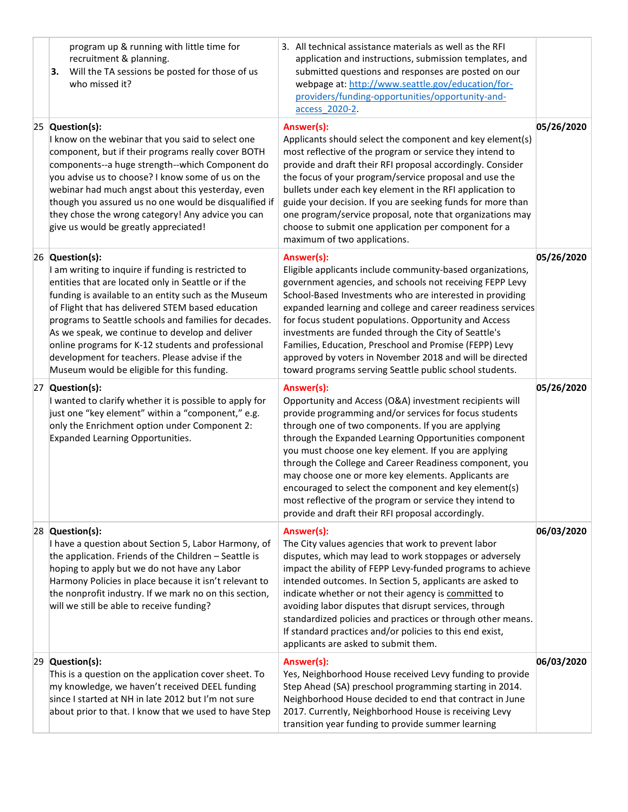| program up & running with little time for<br>recruitment & planning.<br>Will the TA sessions be posted for those of us<br>з.<br>who missed it?                                                                                                                                                                                                                                                                                                                                                               | 3. All technical assistance materials as well as the RFI<br>application and instructions, submission templates, and<br>submitted questions and responses are posted on our<br>webpage at: http://www.seattle.gov/education/for-<br>providers/funding-opportunities/opportunity-and-<br>access 2020-2.                                                                                                                                                                                                                                                                                              |            |
|--------------------------------------------------------------------------------------------------------------------------------------------------------------------------------------------------------------------------------------------------------------------------------------------------------------------------------------------------------------------------------------------------------------------------------------------------------------------------------------------------------------|----------------------------------------------------------------------------------------------------------------------------------------------------------------------------------------------------------------------------------------------------------------------------------------------------------------------------------------------------------------------------------------------------------------------------------------------------------------------------------------------------------------------------------------------------------------------------------------------------|------------|
| 25 Question(s):<br>I know on the webinar that you said to select one<br>component, but if their programs really cover BOTH<br>components--a huge strength--which Component do<br>you advise us to choose? I know some of us on the<br>webinar had much angst about this yesterday, even<br>though you assured us no one would be disqualified if<br>they chose the wrong category! Any advice you can<br>give us would be greatly appreciated!                                                               | Answer(s):<br>Applicants should select the component and key element(s)<br>most reflective of the program or service they intend to<br>provide and draft their RFI proposal accordingly. Consider<br>the focus of your program/service proposal and use the<br>bullets under each key element in the RFI application to<br>guide your decision. If you are seeking funds for more than<br>one program/service proposal, note that organizations may<br>choose to submit one application per component for a<br>maximum of two applications.                                                        | 05/26/2020 |
| 26 Question(s):<br>I am writing to inquire if funding is restricted to<br>entities that are located only in Seattle or if the<br>funding is available to an entity such as the Museum<br>of Flight that has delivered STEM based education<br>programs to Seattle schools and families for decades.<br>As we speak, we continue to develop and deliver<br>online programs for K-12 students and professional<br>development for teachers. Please advise if the<br>Museum would be eligible for this funding. | Answer(s):<br>Eligible applicants include community-based organizations,<br>government agencies, and schools not receiving FEPP Levy<br>School-Based Investments who are interested in providing<br>expanded learning and college and career readiness services<br>for focus student populations. Opportunity and Access<br>investments are funded through the City of Seattle's<br>Families, Education, Preschool and Promise (FEPP) Levy<br>approved by voters in November 2018 and will be directed<br>toward programs serving Seattle public school students.                                  | 05/26/2020 |
| 27 Question(s):<br>I wanted to clarify whether it is possible to apply for<br>just one "key element" within a "component," e.g.<br>only the Enrichment option under Component 2:<br>Expanded Learning Opportunities.                                                                                                                                                                                                                                                                                         | Answer(s):<br>Opportunity and Access (O&A) investment recipients will<br>provide programming and/or services for focus students<br>through one of two components. If you are applying<br>through the Expanded Learning Opportunities component<br>you must choose one key element. If you are applying<br>through the College and Career Readiness component, you<br>may choose one or more key elements. Applicants are<br>encouraged to select the component and key element(s)<br>most reflective of the program or service they intend to<br>provide and draft their RFI proposal accordingly. | 05/26/2020 |
| 28 Question(s):<br>I have a question about Section 5, Labor Harmony, of<br>the application. Friends of the Children - Seattle is<br>hoping to apply but we do not have any Labor<br>Harmony Policies in place because it isn't relevant to<br>the nonprofit industry. If we mark no on this section,<br>will we still be able to receive funding?                                                                                                                                                            | Answer(s):<br>The City values agencies that work to prevent labor<br>disputes, which may lead to work stoppages or adversely<br>impact the ability of FEPP Levy-funded programs to achieve<br>intended outcomes. In Section 5, applicants are asked to<br>indicate whether or not their agency is committed to<br>avoiding labor disputes that disrupt services, through<br>standardized policies and practices or through other means.<br>If standard practices and/or policies to this end exist,<br>applicants are asked to submit them.                                                        | 06/03/2020 |
| 29 Question(s):<br>This is a question on the application cover sheet. To<br>my knowledge, we haven't received DEEL funding<br>since I started at NH in late 2012 but I'm not sure<br>about prior to that. I know that we used to have Step                                                                                                                                                                                                                                                                   | Answer(s):<br>Yes, Neighborhood House received Levy funding to provide<br>Step Ahead (SA) preschool programming starting in 2014.<br>Neighborhood House decided to end that contract in June<br>2017. Currently, Neighborhood House is receiving Levy<br>transition year funding to provide summer learning                                                                                                                                                                                                                                                                                        | 06/03/2020 |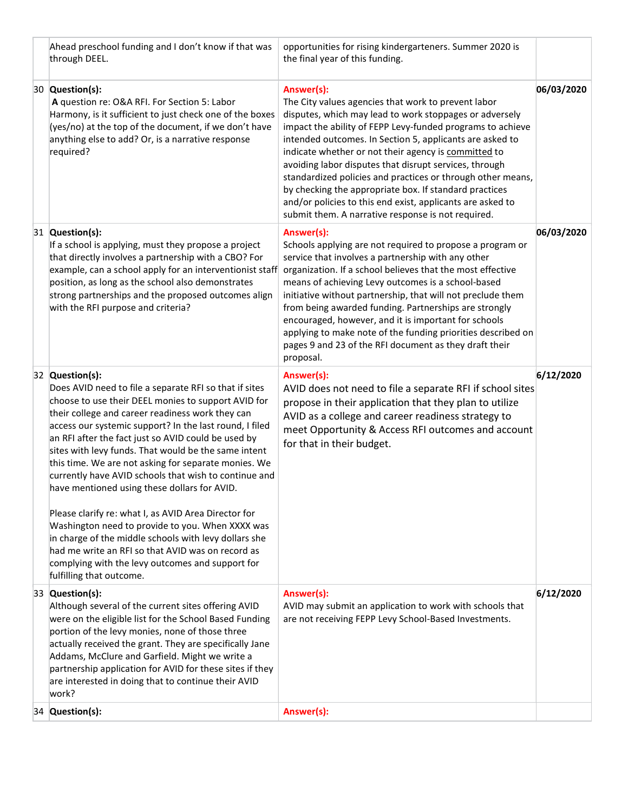| Ahead preschool funding and I don't know if that was<br>through DEEL.                                                                                                                                                                                                                                                                                                                                                                                                                                                                                                                                                                                                                                                                                                                                                                     | opportunities for rising kindergarteners. Summer 2020 is<br>the final year of this funding.                                                                                                                                                                                                                                                                                                                                                                                                                                                                                                                           |            |
|-------------------------------------------------------------------------------------------------------------------------------------------------------------------------------------------------------------------------------------------------------------------------------------------------------------------------------------------------------------------------------------------------------------------------------------------------------------------------------------------------------------------------------------------------------------------------------------------------------------------------------------------------------------------------------------------------------------------------------------------------------------------------------------------------------------------------------------------|-----------------------------------------------------------------------------------------------------------------------------------------------------------------------------------------------------------------------------------------------------------------------------------------------------------------------------------------------------------------------------------------------------------------------------------------------------------------------------------------------------------------------------------------------------------------------------------------------------------------------|------------|
| 30 Question(s):<br>A question re: O&A RFI. For Section 5: Labor<br>Harmony, is it sufficient to just check one of the boxes<br>(yes/no) at the top of the document, if we don't have<br>anything else to add? Or, is a narrative response<br>required?                                                                                                                                                                                                                                                                                                                                                                                                                                                                                                                                                                                    | Answer(s):<br>The City values agencies that work to prevent labor<br>disputes, which may lead to work stoppages or adversely<br>impact the ability of FEPP Levy-funded programs to achieve<br>intended outcomes. In Section 5, applicants are asked to<br>indicate whether or not their agency is committed to<br>avoiding labor disputes that disrupt services, through<br>standardized policies and practices or through other means,<br>by checking the appropriate box. If standard practices<br>and/or policies to this end exist, applicants are asked to<br>submit them. A narrative response is not required. | 06/03/2020 |
| 31 Question(s):<br>If a school is applying, must they propose a project<br>that directly involves a partnership with a CBO? For<br>example, can a school apply for an interventionist staff<br>position, as long as the school also demonstrates<br>strong partnerships and the proposed outcomes align<br>with the RFI purpose and criteria?                                                                                                                                                                                                                                                                                                                                                                                                                                                                                             | Answer(s):<br>Schools applying are not required to propose a program or<br>service that involves a partnership with any other<br>organization. If a school believes that the most effective<br>means of achieving Levy outcomes is a school-based<br>initiative without partnership, that will not preclude them<br>from being awarded funding. Partnerships are strongly<br>encouraged, however, and it is important for schools<br>applying to make note of the funding priorities described on<br>pages 9 and 23 of the RFI document as they draft their<br>proposal.                                              | 06/03/2020 |
| 32 Question(s):<br>Does AVID need to file a separate RFI so that if sites<br>choose to use their DEEL monies to support AVID for<br>their college and career readiness work they can<br>access our systemic support? In the last round, I filed<br>an RFI after the fact just so AVID could be used by<br>sites with levy funds. That would be the same intent<br>this time. We are not asking for separate monies. We<br>currently have AVID schools that wish to continue and<br>have mentioned using these dollars for AVID.<br>Please clarify re: what I, as AVID Area Director for<br>Washington need to provide to you. When XXXX was<br>in charge of the middle schools with levy dollars she<br>had me write an RFI so that AVID was on record as<br>complying with the levy outcomes and support for<br>fulfilling that outcome. | Answer(s):<br>AVID does not need to file a separate RFI if school sites<br>propose in their application that they plan to utilize<br>AVID as a college and career readiness strategy to<br>meet Opportunity & Access RFI outcomes and account<br>for that in their budget.                                                                                                                                                                                                                                                                                                                                            | 6/12/2020  |
| 33 Question(s):<br>Although several of the current sites offering AVID<br>were on the eligible list for the School Based Funding<br>portion of the levy monies, none of those three<br>actually received the grant. They are specifically Jane<br>Addams, McClure and Garfield. Might we write a<br>partnership application for AVID for these sites if they<br>are interested in doing that to continue their AVID<br>work?                                                                                                                                                                                                                                                                                                                                                                                                              | Answer(s):<br>AVID may submit an application to work with schools that<br>are not receiving FEPP Levy School-Based Investments.                                                                                                                                                                                                                                                                                                                                                                                                                                                                                       | 6/12/2020  |
| 34 Question(s):                                                                                                                                                                                                                                                                                                                                                                                                                                                                                                                                                                                                                                                                                                                                                                                                                           | Answer(s):                                                                                                                                                                                                                                                                                                                                                                                                                                                                                                                                                                                                            |            |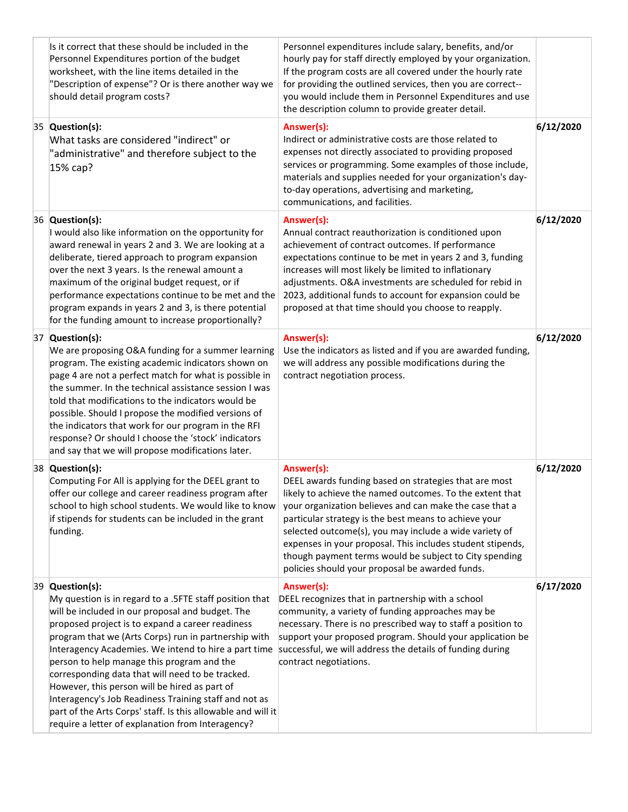| Is it correct that these should be included in the<br>Personnel Expenditures portion of the budget<br>worksheet, with the line items detailed in the<br>"Description of expense"? Or is there another way we<br>should detail program costs?                                                                                                                                                                                                                                                                                                                                                                                        | Personnel expenditures include salary, benefits, and/or<br>hourly pay for staff directly employed by your organization.<br>If the program costs are all covered under the hourly rate<br>for providing the outlined services, then you are correct--<br>you would include them in Personnel Expenditures and use<br>the description column to provide greater detail.                                                                                                                    |           |
|-------------------------------------------------------------------------------------------------------------------------------------------------------------------------------------------------------------------------------------------------------------------------------------------------------------------------------------------------------------------------------------------------------------------------------------------------------------------------------------------------------------------------------------------------------------------------------------------------------------------------------------|------------------------------------------------------------------------------------------------------------------------------------------------------------------------------------------------------------------------------------------------------------------------------------------------------------------------------------------------------------------------------------------------------------------------------------------------------------------------------------------|-----------|
| 35 Question(s):<br>What tasks are considered "indirect" or<br>"administrative" and therefore subject to the<br>15% cap?                                                                                                                                                                                                                                                                                                                                                                                                                                                                                                             | Answer(s):<br>Indirect or administrative costs are those related to<br>expenses not directly associated to providing proposed<br>services or programming. Some examples of those include,<br>materials and supplies needed for your organization's day-<br>to-day operations, advertising and marketing,<br>communications, and facilities.                                                                                                                                              | 6/12/2020 |
| 36 Question(s):<br>I would also like information on the opportunity for<br>award renewal in years 2 and 3. We are looking at a<br>deliberate, tiered approach to program expansion<br>over the next 3 years. Is the renewal amount a<br>maximum of the original budget request, or if<br>performance expectations continue to be met and the<br>program expands in years 2 and 3, is there potential<br>for the funding amount to increase proportionally?                                                                                                                                                                          | Answer(s):<br>Annual contract reauthorization is conditioned upon<br>achievement of contract outcomes. If performance<br>expectations continue to be met in years 2 and 3, funding<br>increases will most likely be limited to inflationary<br>adjustments. O&A investments are scheduled for rebid in<br>2023, additional funds to account for expansion could be<br>proposed at that time should you choose to reapply.                                                                | 6/12/2020 |
| 37 Question(s):<br>We are proposing O&A funding for a summer learning<br>program. The existing academic indicators shown on<br>page 4 are not a perfect match for what is possible in<br>the summer. In the technical assistance session I was<br>told that modifications to the indicators would be<br>possible. Should I propose the modified versions of<br>the indicators that work for our program in the RFI<br>response? Or should I choose the 'stock' indicators<br>and say that we will propose modifications later.                                                                                                      | Answer(s):<br>Use the indicators as listed and if you are awarded funding,<br>we will address any possible modifications during the<br>contract negotiation process.                                                                                                                                                                                                                                                                                                                     | 6/12/2020 |
| 38 Question(s):<br>Computing For All is applying for the DEEL grant to<br>offer our college and career readiness program after<br>school to high school students. We would like to know<br>if stipends for students can be included in the grant<br>funding.                                                                                                                                                                                                                                                                                                                                                                        | Answer(s):<br>DEEL awards funding based on strategies that are most<br>likely to achieve the named outcomes. To the extent that<br>your organization believes and can make the case that a<br>particular strategy is the best means to achieve your<br>selected outcome(s), you may include a wide variety of<br>expenses in your proposal. This includes student stipends,<br>though payment terms would be subject to City spending<br>policies should your proposal be awarded funds. | 6/12/2020 |
| 39 Question(s):<br>My question is in regard to a .5FTE staff position that<br>will be included in our proposal and budget. The<br>proposed project is to expand a career readiness<br>program that we (Arts Corps) run in partnership with<br>Interagency Academies. We intend to hire a part time<br>person to help manage this program and the<br>corresponding data that will need to be tracked.<br>However, this person will be hired as part of<br>Interagency's Job Readiness Training staff and not as<br>part of the Arts Corps' staff. Is this allowable and will it<br>require a letter of explanation from Interagency? | Answer(s):<br>DEEL recognizes that in partnership with a school<br>community, a variety of funding approaches may be<br>necessary. There is no prescribed way to staff a position to<br>support your proposed program. Should your application be<br>successful, we will address the details of funding during<br>contract negotiations.                                                                                                                                                 | 6/17/2020 |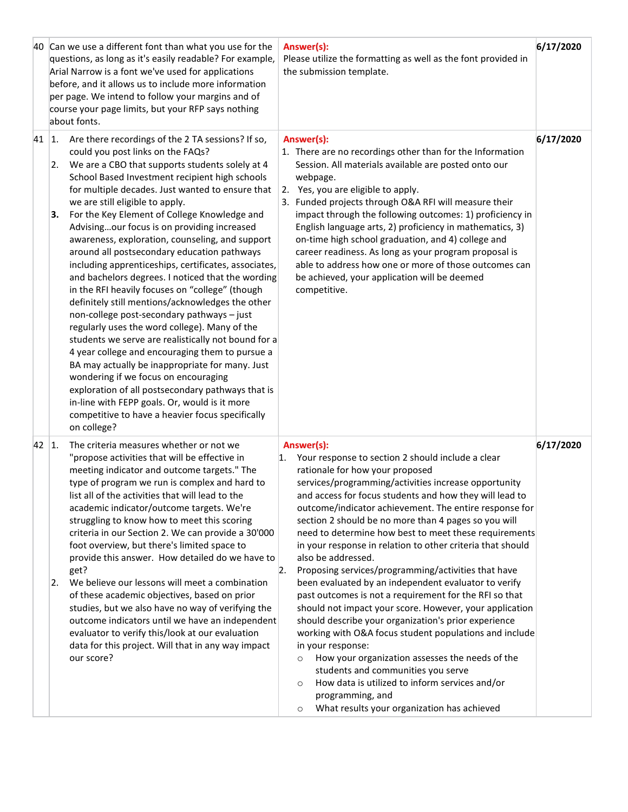|              |                | 40 Can we use a different font than what you use for the<br>questions, as long as it's easily readable? For example,<br>Arial Narrow is a font we've used for applications<br>before, and it allows us to include more information<br>per page. We intend to follow your margins and of<br>course your page limits, but your RFP says nothing<br>about fonts.                                                                                                                                                                                                                                                                                                                                                                                                                                                                                                                                                                                                                                                                                                                                                                                                                        |                  | Answer(s):<br>Please utilize the formatting as well as the font provided in<br>the submission template.                                                                                                                                                                                                                                                                                                                                                                                                                                                                                                                                                                                                                                                                                                                                                                                                                                                                                                                                                                                                           | 6/17/2020 |
|--------------|----------------|--------------------------------------------------------------------------------------------------------------------------------------------------------------------------------------------------------------------------------------------------------------------------------------------------------------------------------------------------------------------------------------------------------------------------------------------------------------------------------------------------------------------------------------------------------------------------------------------------------------------------------------------------------------------------------------------------------------------------------------------------------------------------------------------------------------------------------------------------------------------------------------------------------------------------------------------------------------------------------------------------------------------------------------------------------------------------------------------------------------------------------------------------------------------------------------|------------------|-------------------------------------------------------------------------------------------------------------------------------------------------------------------------------------------------------------------------------------------------------------------------------------------------------------------------------------------------------------------------------------------------------------------------------------------------------------------------------------------------------------------------------------------------------------------------------------------------------------------------------------------------------------------------------------------------------------------------------------------------------------------------------------------------------------------------------------------------------------------------------------------------------------------------------------------------------------------------------------------------------------------------------------------------------------------------------------------------------------------|-----------|
| 41           | 1.<br>2.<br>З. | Are there recordings of the 2 TA sessions? If so,<br>could you post links on the FAQs?<br>We are a CBO that supports students solely at 4<br>School Based Investment recipient high schools<br>for multiple decades. Just wanted to ensure that<br>we are still eligible to apply.<br>For the Key Element of College Knowledge and<br>Advisingour focus is on providing increased<br>awareness, exploration, counseling, and support<br>around all postsecondary education pathways<br>including apprenticeships, certificates, associates,<br>and bachelors degrees. I noticed that the wording<br>in the RFI heavily focuses on "college" (though<br>definitely still mentions/acknowledges the other<br>non-college post-secondary pathways - just<br>regularly uses the word college). Many of the<br>students we serve are realistically not bound for a<br>4 year college and encouraging them to pursue a<br>BA may actually be inappropriate for many. Just<br>wondering if we focus on encouraging<br>exploration of all postsecondary pathways that is<br>in-line with FEPP goals. Or, would is it more<br>competitive to have a heavier focus specifically<br>on college? |                  | Answer(s):<br>1. There are no recordings other than for the Information<br>Session. All materials available are posted onto our<br>webpage.<br>2. Yes, you are eligible to apply.<br>3. Funded projects through O&A RFI will measure their<br>impact through the following outcomes: 1) proficiency in<br>English language arts, 2) proficiency in mathematics, 3)<br>on-time high school graduation, and 4) college and<br>career readiness. As long as your program proposal is<br>able to address how one or more of those outcomes can<br>be achieved, your application will be deemed<br>competitive.                                                                                                                                                                                                                                                                                                                                                                                                                                                                                                        | 6/17/2020 |
| $42 \,   1.$ | 2.             | The criteria measures whether or not we<br>"propose activities that will be effective in<br>meeting indicator and outcome targets." The<br>type of program we run is complex and hard to<br>list all of the activities that will lead to the<br>academic indicator/outcome targets. We're<br>struggling to know how to meet this scoring<br>criteria in our Section 2. We can provide a 30'000<br>foot overview, but there's limited space to<br>provide this answer. How detailed do we have to<br>get?<br>We believe our lessons will meet a combination<br>of these academic objectives, based on prior<br>studies, but we also have no way of verifying the<br>outcome indicators until we have an independent<br>evaluator to verify this/look at our evaluation<br>data for this project. Will that in any way impact<br>our score?                                                                                                                                                                                                                                                                                                                                            | $\overline{2}$ . | Answer(s):<br>1. Your response to section 2 should include a clear<br>rationale for how your proposed<br>services/programming/activities increase opportunity<br>and access for focus students and how they will lead to<br>outcome/indicator achievement. The entire response for<br>section 2 should be no more than 4 pages so you will<br>need to determine how best to meet these requirements<br>in your response in relation to other criteria that should<br>also be addressed.<br>Proposing services/programming/activities that have<br>been evaluated by an independent evaluator to verify<br>past outcomes is not a requirement for the RFI so that<br>should not impact your score. However, your application<br>should describe your organization's prior experience<br>working with O&A focus student populations and include<br>in your response:<br>How your organization assesses the needs of the<br>$\circ$<br>students and communities you serve<br>How data is utilized to inform services and/or<br>$\circ$<br>programming, and<br>What results your organization has achieved<br>$\circ$ | 6/17/2020 |